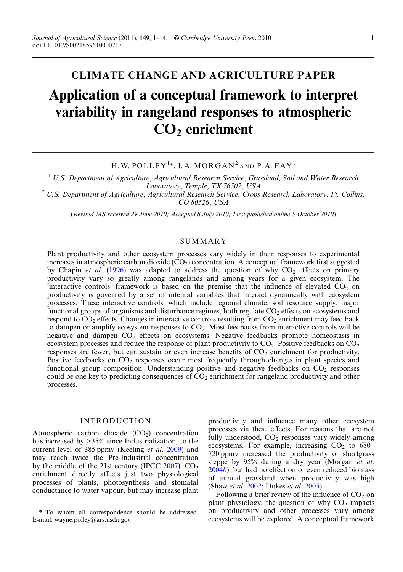# CLIMATE CHANGE AND AGRICULTURE PAPER Application of a conceptual framework to interpret variability in rangeland responses to atmospheric CO2 enrichment

H. W. POLLEY<sup>1</sup>\*, J. A. MORGAN<sup>2</sup> and P. A. FAY<sup>1</sup>

<sup>1</sup> U.S. Department of Agriculture, Agricultural Research Service, Grassland, Soil and Water Research Laboratory, Temple, TX 76502, USA

 $^{2}$  U.S. Department of Agriculture, Agricultural Research Service, Crops Research Laboratory, Ft. Collins, CO 80526, USA

(Revised MS received 29 June 2010; Accepted 8 July 2010; First published online 5 October 2010)

# **SUMMARY**

Plant productivity and other ecosystem processes vary widely in their responses to experimental increases in atmospheric carbon dioxide  $(\rm CO_2)$  concentration. A conceptual framework first suggested by Chapin et al. [\(1996](#page-10-0)) was adapted to address the question of why  $CO<sub>2</sub>$  effects on primary productivity vary so greatly among rangelands and among years for a given ecosystem. The  $\frac{1}{2}$  interactive controls' framework is based on the premise that the influence of elevated CO<sub>2</sub> on productivity is governed by a set of internal variables that interact dynamically with ecosystem processes. These interactive controls, which include regional climate, soil resource supply, major functional groups of organisms and disturbance regimes, both regulate  $CO<sub>2</sub>$  effects on ecosystems and respond to  $CO<sub>2</sub>$  effects. Changes in interactive controls resulting from  $CO<sub>2</sub>$  enrichment may feed back to dampen or amplify ecosystem responses to CO<sub>2</sub>. Most feedbacks from interactive controls will be negative and dampen  $CO<sub>2</sub>$  effects on ecosystems. Negative feedbacks promote homeostasis in ecosystem processes and reduce the response of plant productivity to  $CO<sub>2</sub>$ . Positive feedbacks on  $CO<sub>2</sub>$ responses are fewer, but can sustain or even increase benefits of  $CO<sub>2</sub>$  enrichment for productivity. Positive feedbacks on CO<sub>2</sub> responses occur most frequently through changes in plant species and functional group composition. Understanding positive and negative feedbacks on  $CO<sub>2</sub>$  responses could be one key to predicting consequences of  $CO<sub>2</sub>$  enrichment for rangeland productivity and other processes.

# INTRODUCTION

Atmospheric carbon dioxide  $(CO<sub>2</sub>)$  concentration has increased by  $>35\%$  since Industrialization, to the current level of 385 ppmy (Keeling *et al.* [2009\)](#page-11-0) and may reach twice the Pre-Industrial concentration by the middle of the 21st century (IPCC  $2007$ ). CO<sub>2</sub> enrichment directly affects just two physiological processes of plants, photosynthesis and stomatal conductance to water vapour, but may increase plant productivity and influence many other ecosystem processes via these effects. For reasons that are not fully understood,  $CO<sub>2</sub>$  responses vary widely among ecosystems. For example, increasing  $CO<sub>2</sub>$  to 680– 720 ppmv increased the productivity of shortgrass steppe by 95% during a dry year (Morgan et al. [2004](#page-12-0)b), but had no effect on or even reduced biomass of annual grassland when productivity was high (Shaw et al. [2002](#page-13-0); Dukes et al. [2005](#page-10-0)).

Following a brief review of the influence of  $CO<sub>2</sub>$  on plant physiology, the question of why  $CO<sub>2</sub>$  impacts on productivity and other processes vary among ecosystems will be explored. A conceptual framework

<sup>\*</sup> To whom all correspondence should be addressed. E-mail: wayne.polley@ars.usda.gov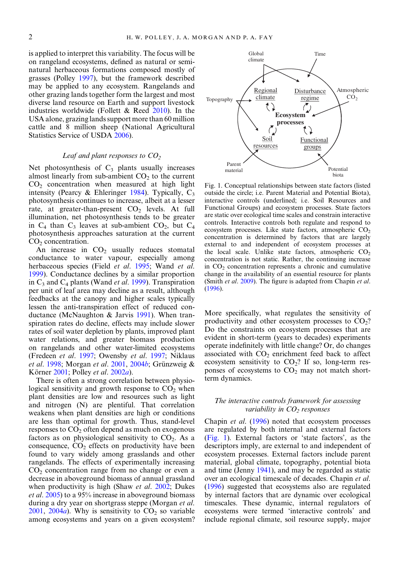<span id="page-1-0"></span>is applied to interpret this variability. The focus will be on rangeland ecosystems, defined as natural or seminatural herbaceous formations composed mostly of grasses (Polley [1997](#page-12-0)), but the framework described may be applied to any ecosystem. Rangelands and other grazing lands together form the largest and most diverse land resource on Earth and support livestock industries worldwide (Follett & Reed [2010\)](#page-10-0). In the USA alone, grazing lands support more than 60 million cattle and 8 million sheep (National Agricultural Statistics Service of USDA [2006\)](#page-12-0).

#### Leaf and plant responses to  $CO<sub>2</sub>$

Net photosynthesis of  $C_3$  plants usually increases almost linearly from sub-ambient  $CO<sub>2</sub>$  to the current  $CO<sub>2</sub>$  concentration when measured at high light intensity (Pearcy & Ehleringer [1984\)](#page-12-0). Typically,  $C_3$ photosynthesis continues to increase, albeit at a lesser rate, at greater-than-present  $CO<sub>2</sub>$  levels. At full illumination, net photosynthesis tends to be greater in  $C_4$  than  $C_3$  leaves at sub-ambient  $CO_2$ , but  $C_4$ photosynthesis approaches saturation at the current  $CO<sub>2</sub>$  concentration.

An increase in  $CO<sub>2</sub>$  usually reduces stomatal conductance to water vapour, especially among herbaceous species (Field et al. [1995](#page-10-0); Wand et al. [1999](#page-13-0)). Conductance declines by a similar proportion in  $C_3$  and  $C_4$  plants (Wand *et al.* [1999\)](#page-13-0). Transpiration per unit of leaf area may decline as a result, although feedbacks at the canopy and higher scales typically lessen the anti-transpiration effect of reduced conductance (McNaughton & Jarvis [1991\)](#page-11-0). When transpiration rates do decline, effects may include slower rates of soil water depletion by plants, improved plant water relations, and greater biomass production on rangelands and other water-limited ecosystems (Fredeen et al. [1997;](#page-10-0) Owensby et al. [1997](#page-12-0); Niklaus et al. [1998;](#page-12-0) Morgan et al. [2001,](#page-12-0) [2004](#page-12-0)b; Grünzweig & Körner [2001](#page-10-0); Polley et al. [2002](#page-12-0)a).

There is often a strong correlation between physiological sensitivity and growth response to  $CO<sub>2</sub>$  when plant densities are low and resources such as light and nitrogen (N) are plentiful. That correlation weakens when plant densities are high or conditions are less than optimal for growth. Thus, stand-level responses to  $CO<sub>2</sub>$  often depend as much on exogenous factors as on physiological sensitivity to  $CO<sub>2</sub>$ . As a consequence,  $CO<sub>2</sub>$  effects on productivity have been found to vary widely among grasslands and other rangelands. The effects of experimentally increasing  $CO<sub>2</sub>$  concentration range from no change or even a decrease in aboveground biomass of annual grassland when productivity is high (Shaw *et al.* [2002;](#page-13-0) Dukes et al. [2005\)](#page-10-0) to a 95% increase in aboveground biomass during a dry year on shortgrass steppe (Morgan et al.  $2001$ ,  $2004a$  $2004a$ ). Why is sensitivity to  $CO<sub>2</sub>$  so variable among ecosystems and years on a given ecosystem?



Fig. 1. Conceptual relationships between state factors (listed outside the circle; i.e. Parent Material and Potential Biota), interactive controls (underlined; i.e. Soil Resources and Functional Groups) and ecosystem processes. State factors are static over ecological time scales and constrain interactive controls. Interactive controls both regulate and respond to ecosystem processes. Like state factors, atmospheric  $CO<sub>2</sub>$ concentration is determined by factors that are largely external to and independent of ecosystem processes at the local scale. Unlike state factors, atmospheric  $CO<sub>2</sub>$ concentration is not static. Rather, the continuing increase in  $CO<sub>2</sub>$  concentration represents a chronic and cumulative change in the availability of an essential resource for plants (Smith et al. [2009](#page-13-0)). The figure is adapted from Chapin et al. ([1996\)](#page-10-0).

More specifically, what regulates the sensitivity of productivity and other ecosystem processes to  $CO<sub>2</sub>$ ? Do the constraints on ecosystem processes that are evident in short-term (years to decades) experiments operate indefinitely with little change? Or, do changes associated with  $CO<sub>2</sub>$  enrichment feed back to affect ecosystem sensitivity to  $CO<sub>2</sub>$ ? If so, long-term responses of ecosystems to  $CO<sub>2</sub>$  may not match shortterm dynamics.

## The interactive controls framework for assessing variability in  $CO<sub>2</sub>$  responses

Chapin et al. [\(1996](#page-10-0)) noted that ecosystem processes are regulated by both internal and external factors (Fig. 1). External factors or 'state factors', as the descriptors imply, are external to and independent of ecosystem processes. External factors include parent material, global climate, topography, potential biota and time (Jenny [1941](#page-11-0)), and may be regarded as static over an ecological timescale of decades. Chapin et al. [\(1996](#page-10-0)) suggested that ecosystems also are regulated by internal factors that are dynamic over ecological timescales. These dynamic, internal regulators of ecosystems were termed 'interactive controls' and include regional climate, soil resource supply, major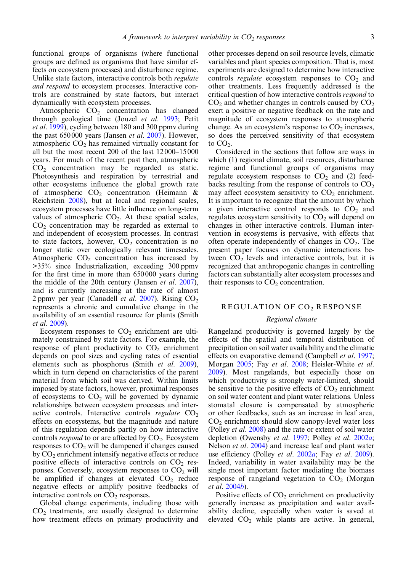functional groups of organisms (where functional groups are defined as organisms that have similar effects on ecosystem processes) and disturbance regime. Unlike state factors, interactive controls both regulate and respond to ecosystem processes. Interactive controls are constrained by state factors, but interact dynamically with ecosystem processes.

Atmospheric  $CO<sub>2</sub>$  concentration has changed through geological time (Jouzel et al. [1993;](#page-11-0) Petit et al. [1999](#page-12-0)), cycling between 180 and 300 ppmv during the past 650 000 years (Jansen et al. [2007\)](#page-11-0). However, atmospheric  $CO<sub>2</sub>$  has remained virtually constant for all but the most recent 200 of the last 12 000–15 000 years. For much of the recent past then, atmospheric  $CO<sub>2</sub>$  concentration may be regarded as static. Photosynthesis and respiration by terrestrial and other ecosystems influence the global growth rate of atmospheric  $CO<sub>2</sub>$  concentration (Heimann & Reichstein [2008\)](#page-11-0), but at local and regional scales, ecosystem processes have little influence on long-term values of atmospheric  $CO<sub>2</sub>$ . At these spatial scales,  $CO<sub>2</sub>$  concentration may be regarded as external to and independent of ecosystem processes. In contrast to state factors, however,  $CO<sub>2</sub>$  concentration is no longer static over ecologically relevant timescales. Atmospheric  $CO<sub>2</sub>$  concentration has increased by >35% since Industrialization, exceeding 300 ppmv for the first time in more than 650 000 years during the middle of the 20th century (Jansen et al.  $2007$ ), and is currently increasing at the rate of almost 2 ppmv per year (Canadell *et al.*  $2007$ ). Rising  $CO<sub>2</sub>$ represents a chronic and cumulative change in the availability of an essential resource for plants (Smith et al. [2009\)](#page-13-0).

Ecosystem responses to  $CO<sub>2</sub>$  enrichment are ultimately constrained by state factors. For example, the response of plant productivity to  $CO<sub>2</sub>$  enrichment depends on pool sizes and cycling rates of essential elements such as phosphorus (Smith et al. [2009\)](#page-13-0), which in turn depend on characteristics of the parent material from which soil was derived. Within limits imposed by state factors, however, proximal responses of ecosystems to  $CO<sub>2</sub>$  will be governed by dynamic relationships between ecosystem processes and interactive controls. Interactive controls regulate  $CO<sub>2</sub>$ effects on ecosystems, but the magnitude and nature of this regulation depends partly on how interactive controls *respond* to or are affected by  $CO<sub>2</sub>$ . Ecosystem responses to  $CO<sub>2</sub>$  will be dampened if changes caused by  $CO<sub>2</sub>$  enrichment intensify negative effects or reduce positive effects of interactive controls on  $CO<sub>2</sub>$  responses. Conversely, ecosystem responses to  $CO<sub>2</sub>$  will be amplified if changes at elevated  $CO<sub>2</sub>$  reduce negative effects or amplify positive feedbacks of interactive controls on  $CO<sub>2</sub>$  responses.

Global change experiments, including those with  $CO<sub>2</sub>$  treatments, are usually designed to determine how treatment effects on primary productivity and other processes depend on soil resource levels, climatic variables and plant species composition. That is, most experiments are designed to determine how interactive controls regulate ecosystem responses to  $CO<sub>2</sub>$  and other treatments. Less frequently addressed is the critical question of how interactive controls respond to  $CO<sub>2</sub>$  and whether changes in controls caused by  $CO<sub>2</sub>$ exert a positive or negative feedback on the rate and magnitude of ecosystem responses to atmospheric change. As an ecosystem's response to  $CO<sub>2</sub>$  increases, so does the perceived sensitivity of that ecosystem to CO<sub>2</sub>.

Considered in the sections that follow are ways in which (1) regional climate, soil resources, disturbance regime and functional groups of organisms may regulate ecosystem responses to  $CO<sub>2</sub>$  and (2) feedbacks resulting from the response of controls to  $CO<sub>2</sub>$ may affect ecosystem sensitivity to  $CO<sub>2</sub>$  enrichment. It is important to recognize that the amount by which a given interactive control responds to  $CO<sub>2</sub>$  and regulates ecosystem sensitivity to  $CO<sub>2</sub>$  will depend on changes in other interactive controls. Human intervention in ecosystems is pervasive, with effects that often operate independently of changes in  $CO<sub>2</sub>$ . The present paper focuses on dynamic interactions between  $CO<sub>2</sub>$  levels and interactive controls, but it is recognized that anthropogenic changes in controlling factors can substantially alter ecosystem processes and their responses to  $CO<sub>2</sub>$  concentration.

## REGULATION OF CO2 RESPONSE

## Regional climate

Rangeland productivity is governed largely by the effects of the spatial and temporal distribution of precipitation on soil water availability and the climatic effects on evaporative demand (Campbell et al. [1997;](#page-10-0) Morgan [2005;](#page-12-0) Fay et al. [2008;](#page-10-0) Heisler-White et al. [2009\)](#page-11-0). Most rangelands, but especially those on which productivity is strongly water-limited, should be sensitive to the positive effects of  $CO<sub>2</sub>$  enrichment on soil water content and plant water relations. Unless stomatal closure is compensated by atmospheric or other feedbacks, such as an increase in leaf area,  $CO<sub>2</sub>$  enrichment should slow canopy-level water loss (Polley et al. [2008](#page-13-0)) and the rate or extent of soil water depletion (Owensby et al. [1997;](#page-12-0) Polley et al. [2002](#page-12-0)a; Nelson et al. [2004\)](#page-12-0) and increase leaf and plant water use efficiency (Polley *et al.* [2002](#page-12-0)*a*; Fay *et al.* [2009\)](#page-10-0). Indeed, variability in water availability may be the single most important factor mediating the biomass response of rangeland vegetation to  $CO<sub>2</sub>$  (Morgan et al. [2004](#page-12-0)b).

Positive effects of  $CO<sub>2</sub>$  enrichment on productivity generally increase as precipitation and water availability decline, especially when water is saved at elevated CO<sub>2</sub> while plants are active. In general,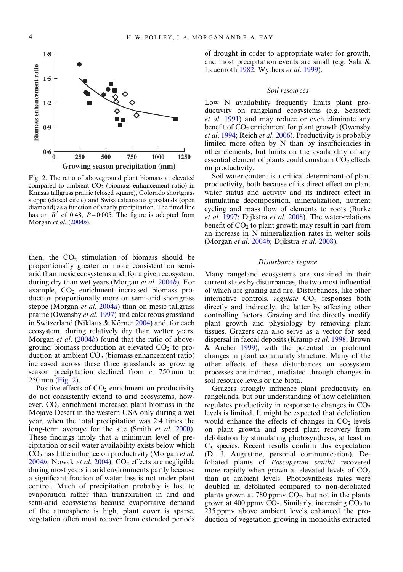

Fig. 2. The ratio of aboveground plant biomass at elevated compared to ambient  $CO<sub>2</sub>$  (biomass enhancement ratio) in Kansas tallgrass prairie (closed square), Colorado shortgrass steppe (closed circle) and Swiss calcareous grasslands (open diamond) as a function of yearly precipitation. The fitted line has an  $R^2$  of 0.48,  $P=0.005$ . The figure is adapted from Morgan et al. [\(2004](#page-12-0)b).

then, the  $CO<sub>2</sub>$  stimulation of biomass should be proportionally greater or more consistent on semiarid than mesic ecosystems and, for a given ecosystem, during dry than wet years (Morgan et al. [2004](#page-12-0)b). For example,  $CO<sub>2</sub>$  enrichment increased biomass production proportionally more on semi-arid shortgrass steppe (Morgan *et al.* [2004](#page-12-0)*a*) than on mesic tallgrass prairie (Owensby et al. [1997\)](#page-12-0) and calcareous grassland in Switzerland (Niklaus & Körner [2004\)](#page-12-0) and, for each ecosystem, during relatively dry than wetter years. Morgan et al. [\(2004](#page-12-0)b) found that the ratio of aboveground biomass production at elevated  $CO<sub>2</sub>$  to production at ambient  $CO<sub>2</sub>$  (biomass enhancement ratio) increased across these three grasslands as growing season precipitation declined from  $c$ . 750 mm to 250 mm (Fig. 2).

Positive effects of  $CO<sub>2</sub>$  enrichment on productivity do not consistently extend to arid ecosystems, however.  $CO<sub>2</sub>$  enrichment increased plant biomass in the Mojave Desert in the western USA only during a wet year, when the total precipitation was 2·4 times the long-term average for the site (Smith *et al.* [2000](#page-13-0)). These findings imply that a minimum level of precipitation or soil water availability exists below which  $CO<sub>2</sub>$  has little influence on productivity (Morgan *et al.*) [2004](#page-12-0)b; Nowak et al. 2004).  $CO<sub>2</sub>$  effects are negligible during most years in arid environments partly because a significant fraction of water loss is not under plant control. Much of precipitation probably is lost to evaporation rather than transpiration in arid and semi-arid ecosystems because evaporative demand of the atmosphere is high, plant cover is sparse, vegetation often must recover from extended periods of drought in order to appropriate water for growth, and most precipitation events are small (e.g. Sala & Lauenroth [1982;](#page-13-0) Wythers et al. [1999](#page-13-0)).

#### Soil resources

Low N availability frequently limits plant productivity on rangeland ecosystems (e.g. Seastedt et al. [1991\)](#page-13-0) and may reduce or even eliminate any benefit of  $CO<sub>2</sub>$  enrichment for plant growth (Owensby et al. [1994;](#page-12-0) Reich et al. [2006](#page-13-0)). Productivity is probably limited more often by N than by insufficiencies in other elements, but limits on the availability of any essential element of plants could constrain  $CO<sub>2</sub>$  effects on productivity.

Soil water content is a critical determinant of plant productivity, both because of its direct effect on plant water status and activity and its indirect effect in stimulating decomposition, mineralization, nutrient cycling and mass flow of elements to roots (Burke et al. [1997;](#page-10-0) Dijkstra et al. [2008\)](#page-10-0). The water-relations benefit of  $CO<sub>2</sub>$  to plant growth may result in part from an increase in N mineralization rates in wetter soils (Morgan et al. [2004](#page-12-0)b; Dijkstra et al. [2008](#page-10-0)).

## Disturbance regime

Many rangeland ecosystems are sustained in their current states by disturbances, the two most influential of which are grazing and fire. Disturbances, like other interactive controls, regulate  $CO<sub>2</sub>$  responses both directly and indirectly, the latter by affecting other controlling factors. Grazing and fire directly modify plant growth and physiology by removing plant tissues. Grazers can also serve as a vector for seed dispersal in faecal deposits (Kramp et al. [1998;](#page-11-0) Brown & Archer [1999](#page-10-0)), with the potential for profound changes in plant community structure. Many of the other effects of these disturbances on ecosystem processes are indirect, mediated through changes in soil resource levels or the biota.

Grazers strongly influence plant productivity on rangelands, but our understanding of how defoliation regulates productivity in response to changes in  $CO<sub>2</sub>$ levels is limited. It might be expected that defoliation would enhance the effects of changes in  $CO<sub>2</sub>$  levels on plant growth and speed plant recovery from defoliation by stimulating photosynthesis, at least in  $C_3$  species. Recent results confirm this expectation (D. J. Augustine, personal communication). Defoliated plants of Pascopyrum smithii recovered more rapidly when grown at elevated levels of  $CO<sub>2</sub>$ than at ambient levels. Photosynthesis rates were doubled in defoliated compared to non-defoliated plants grown at 780 ppmv  $CO<sub>2</sub>$ , but not in the plants grown at 400 ppmv  $CO<sub>2</sub>$ . Similarly, increasing  $CO<sub>2</sub>$  to 235 ppmv above ambient levels enhanced the production of vegetation growing in monoliths extracted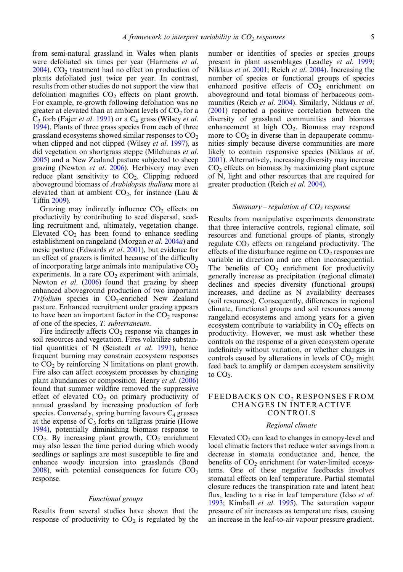from semi-natural grassland in Wales when plants were defoliated six times per year (Harmens et al.  $2004$ ). CO<sub>2</sub> treatment had no effect on production of plants defoliated just twice per year. In contrast, results from other studies do not support the view that defoliation magnifies  $CO<sub>2</sub>$  effects on plant growth. For example, re-growth following defoliation was no greater at elevated than at ambient levels of  $CO<sub>2</sub>$  for a  $C_3$  forb (Fajer *et al.* [1991\)](#page-10-0) or a  $C_4$  grass (Wilsey *et al.* [1994\)](#page-13-0). Plants of three grass species from each of three grassland ecosystems showed similar responses to  $CO<sub>2</sub>$ when clipped and not clipped (Wilsey et al. [1997\)](#page-13-0), as did vegetation on shortgrass steppe (Milchunas et al. [2005\)](#page-12-0) and a New Zealand pasture subjected to sheep grazing (Newton et al. [2006](#page-12-0)). Herbivory may even reduce plant sensitivity to  $CO<sub>2</sub>$ . Clipping reduced aboveground biomass of Arabidopsis thaliana more at elevated than at ambient  $CO<sub>2</sub>$ , for instance (Lau & Tiffin [2009](#page-11-0)).

Grazing may indirectly influence  $CO<sub>2</sub>$  effects on productivity by contributing to seed dispersal, seedling recruitment and, ultimately, vegetation change. Elevated  $CO<sub>2</sub>$  has been found to enhance seedling establishment on rangeland (Morgan et al. [2004](#page-12-0)a) and mesic pasture (Edwards et al. [2001\)](#page-10-0), but evidence for an effect of grazers is limited because of the difficulty of incorporating large animals into manipulative  $CO<sub>2</sub>$ experiments. In a rare  $CO<sub>2</sub>$  experiment with animals, Newton *et al.* [\(2006](#page-12-0)) found that grazing by sheep enhanced aboveground production of two important  $Trifolium$  species in  $CO<sub>2</sub>$ -enriched New Zealand pasture. Enhanced recruitment under grazing appears to have been an important factor in the  $CO<sub>2</sub>$  response of one of the species, T. subterraneum.

Fire indirectly affects  $CO<sub>2</sub>$  response via changes in soil resources and vegetation. Fires volatilize substantial quantities of N (Seastedt *et al.* [1991\)](#page-13-0), hence frequent burning may constrain ecosystem responses to  $CO<sub>2</sub>$  by reinforcing N limitations on plant growth. Fire also can affect ecosystem processes by changing plant abundances or composition. Henry et al. [\(2006](#page-11-0)) found that summer wildfire removed the suppressive effect of elevated  $CO<sub>2</sub>$  on primary productivity of annual grassland by increasing production of forb species. Conversely, spring burning favours  $C_4$  grasses at the expense of  $C_3$  forbs on tallgrass prairie (Howe [1994\)](#page-11-0), potentially diminishing biomass response to  $CO<sub>2</sub>$ . By increasing plant growth,  $CO<sub>2</sub>$  enrichment may also lessen the time period during which woody seedlings or saplings are most susceptible to fire and enhance woody incursion into grasslands (Bond  $2008$ ), with potential consequences for future  $CO<sub>2</sub>$ response.

#### Functional groups

Results from several studies have shown that the response of productivity to  $CO<sub>2</sub>$  is regulated by the number or identities of species or species groups present in plant assemblages (Leadley et al. [1999;](#page-11-0) Niklaus et al. [2001](#page-12-0); Reich et al. [2004\)](#page-13-0). Increasing the number of species or functional groups of species enhanced positive effects of  $CO<sub>2</sub>$  enrichment on aboveground and total biomass of herbaceous com-munities (Reich et al. [2004](#page-13-0)). Similarly, Niklaus et al. ([2001\)](#page-12-0) reported a positive correlation between the diversity of grassland communities and biomass enhancement at high  $CO<sub>2</sub>$ . Biomass may respond more to  $CO<sub>2</sub>$  in diverse than in depauperate communities simply because diverse communities are more likely to contain responsive species (Niklaus et al. [2001\)](#page-12-0). Alternatively, increasing diversity may increase  $CO<sub>2</sub>$  effects on biomass by maximizing plant capture of N, light and other resources that are required for greater production (Reich et al. [2004\)](#page-13-0).

#### Summary  $-$  regulation of  $CO<sub>2</sub>$  response

Results from manipulative experiments demonstrate that three interactive controls, regional climate, soil resources and functional groups of plants, strongly regulate  $CO<sub>2</sub>$  effects on rangeland productivity. The effects of the disturbance regime on  $CO<sub>2</sub>$  responses are variable in direction and are often inconsequential. The benefits of  $CO<sub>2</sub>$  enrichment for productivity generally increase as precipitation (regional climate) declines and species diversity (functional groups) increases, and decline as N availability decreases (soil resources). Consequently, differences in regional climate, functional groups and soil resources among rangeland ecosystems and among years for a given ecosystem contribute to variability in  $CO<sub>2</sub>$  effects on productivity. However, we must ask whether these controls on the response of a given ecosystem operate indefinitely without variation, or whether changes in controls caused by alterations in levels of  $CO<sub>2</sub>$  might feed back to amplify or dampen ecosystem sensitivity to  $CO<sub>2</sub>$ .

## FEEDBACKS ON CO<sub>2</sub> RESPONSES FROM CHANGES IN INTERACTIVE CONTROLS

#### Regional climate

Elevated  $CO<sub>2</sub>$  can lead to changes in canopy-level and local climatic factors that reduce water savings from a decrease in stomata conductance and, hence, the benefits of CO<sub>2</sub> enrichment for water-limited ecosystems. One of these negative feedbacks involves stomatal effects on leaf temperature. Partial stomatal closure reduces the transpiration rate and latent heat flux, leading to a rise in leaf temperature (Idso *et al.*) [1993;](#page-11-0) Kimball et al. [1995](#page-11-0)). The saturation vapour pressure of air increases as temperature rises, causing an increase in the leaf-to-air vapour pressure gradient.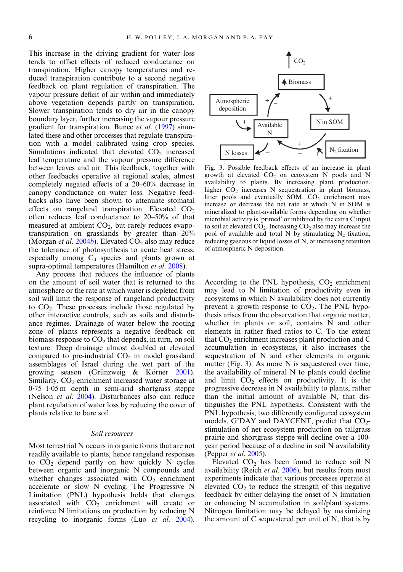<span id="page-5-0"></span>This increase in the driving gradient for water loss tends to offset effects of reduced conductance on transpiration. Higher canopy temperatures and reduced transpiration contribute to a second negative feedback on plant regulation of transpiration. The vapour pressure deficit of air within and immediately above vegetation depends partly on transpiration. Slower transpiration tends to dry air in the canopy boundary layer, further increasing the vapour pressure gradient for transpiration. Bunce et al. ([1997\)](#page-10-0) simulated these and other processes that regulate transpiration with a model calibrated using crop species. Simulations indicated that elevated CO<sub>2</sub> increased leaf temperature and the vapour pressure difference between leaves and air. This feedback, together with other feedbacks operative at regional scales, almost completely negated effects of a 20–60% decrease in canopy conductance on water loss. Negative feedbacks also have been shown to attenuate stomatal effects on rangeland transpiration. Elevated  $CO<sub>2</sub>$ often reduces leaf conductance to 20–50% of that measured at ambient  $CO<sub>2</sub>$ , but rarely reduces evapotranspiration on grasslands by greater than 20% (Morgan et al. [2004](#page-12-0)b). Elevated  $CO<sub>2</sub>$  also may reduce the tolerance of photosynthesis to acute heat stress, especially among  $C_4$  species and plants grown at supra-optimal temperatures (Hamilton et al. [2008\)](#page-11-0).

Any process that reduces the influence of plants on the amount of soil water that is returned to the atmosphere or the rate at which water is depleted from soil will limit the response of rangeland productivity to  $CO<sub>2</sub>$ . These processes include those regulated by other interactive controls, such as soils and disturbance regimes. Drainage of water below the rooting zone of plants represents a negative feedback on biomass response to  $CO<sub>2</sub>$  that depends, in turn, on soil texture. Deep drainage almost doubled at elevated compared to pre-industrial  $CO<sub>2</sub>$  in model grassland assemblages of Israel during the wet part of the growing season (Grünzweig & Körner [2001](#page-10-0)). Similarly,  $CO<sub>2</sub>$  enrichment increased water storage at 0·75–1·05 m depth in semi-arid shortgrass steppe (Nelson et al. [2004](#page-12-0)). Disturbances also can reduce plant regulation of water loss by reducing the cover of plants relative to bare soil.

# Soil resources

Most terrestrial N occurs in organic forms that are not readily available to plants, hence rangeland responses to CO2 depend partly on how quickly N cycles between organic and inorganic N compounds and whether changes associated with  $CO<sub>2</sub>$  enrichment accelerate or slow N cycling. The Progressive N Limitation (PNL) hypothesis holds that changes associated with  $CO<sub>2</sub>$  enrichment will create or reinforce N limitations on production by reducing N recycling to inorganic forms (Luo et al. [2004](#page-11-0)).



Fig. 3. Possible feedback effects of an increase in plant growth at elevated  $CO<sub>2</sub>$  on ecosystem N pools and N availability to plants. By increasing plant production, higher  $CO<sub>2</sub>$  increases N sequestration in plant biomass, litter pools and eventually  $SOM$ .  $CO<sub>2</sub>$  enrichment may increase or decrease the net rate at which N in SOM is mineralized to plant-available forms depending on whether microbial activity is 'primed' or inhibited by the extra C input to soil at elevated  $CO<sub>2</sub>$ . Increasing  $CO<sub>2</sub>$  also may increase the pool of available and total N by stimulating  $N_2$  fixation, reducing gaseous or liquid losses of N, or increasing retention of atmospheric N deposition.

According to the PNL hypothesis,  $CO<sub>2</sub>$  enrichment may lead to N limitation of productivity even in ecosystems in which N availability does not currently prevent a growth response to  $CO<sub>2</sub>$ . The PNL hypothesis arises from the observation that organic matter, whether in plants or soil, contains N and other elements in rather fixed ratios to C. To the extent that  $CO<sub>2</sub>$  enrichment increases plant production and C accumulation in ecosystems, it also increases the sequestration of N and other elements in organic matter (Fig. 3). As more N is sequestered over time, the availability of mineral N to plants could decline and limit  $CO<sub>2</sub>$  effects on productivity. It is the progressive decrease in N availability to plants, rather than the initial amount of available N, that distinguishes the PNL hypothesis. Consistent with the PNL hypothesis, two differently configured ecosystem models, G'DAY and DAYCENT, predict that CO<sub>2</sub>stimulation of net ecosystem production on tallgrass prairie and shortgrass steppe will decline over a 100 year period because of a decline in soil N availability (Pepper et al. [2005](#page-12-0)).

Elevated  $CO<sub>2</sub>$  has been found to reduce soil N availability (Reich et al. [2006](#page-13-0)), but results from most experiments indicate that various processes operate at elevated  $CO<sub>2</sub>$  to reduce the strength of this negative feedback by either delaying the onset of N limitation or enhancing N accumulation in soil/plant systems. Nitrogen limitation may be delayed by maximizing the amount of C sequestered per unit of N, that is by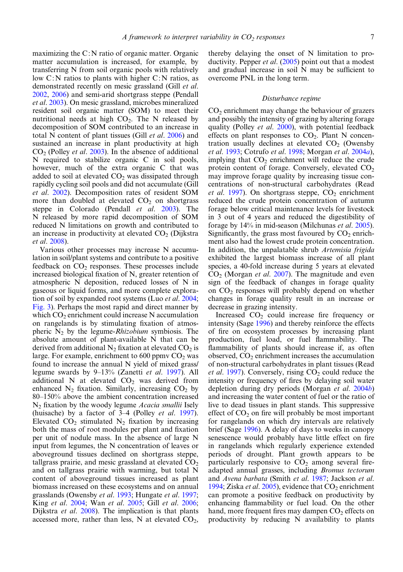maximizing the C:N ratio of organic matter. Organic matter accumulation is increased, for example, by transferring N from soil organic pools with relatively low C:N ratios to plants with higher C:N ratios, as demonstrated recently on mesic grassland (Gill et al. [2002,](#page-10-0) [2006](#page-10-0)) and semi-arid shortgrass steppe (Pendall et al. [2003](#page-12-0)). On mesic grassland, microbes mineralized resident soil organic matter (SOM) to meet their nutritional needs at high  $CO<sub>2</sub>$ . The N released by decomposition of SOM contributed to an increase in total N content of plant tissues (Gill et al. [2006\)](#page-10-0) and sustained an increase in plant productivity at high  $CO<sub>2</sub>$  (Polley *et al.* [2003\)](#page-13-0). In the absence of additional N required to stabilize organic C in soil pools, however, much of the extra organic C that was added to soil at elevated  $CO<sub>2</sub>$  was dissipated through rapidly cycling soil pools and did not accumulate (Gill et al. [2002](#page-10-0)). Decomposition rates of resident SOM more than doubled at elevated  $CO<sub>2</sub>$  on shortgrass steppe in Colorado (Pendall *et al.* [2003\)](#page-12-0). The N released by more rapid decomposition of SOM reduced N limitations on growth and contributed to an increase in productivity at elevated  $CO<sub>2</sub>$  (Dijkstra et al. [2008\)](#page-10-0).

Various other processes may increase N accumulation in soil/plant systems and contribute to a positive feedback on  $CO<sub>2</sub>$  responses. These processes include increased biological fixation of N, greater retention of atmospheric N deposition, reduced losses of N in gaseous or liquid forms, and more complete explora-tion of soil by expanded root systems (Luo et al. [2004](#page-11-0); [Fig. 3](#page-5-0)). Perhaps the most rapid and direct manner by which  $CO<sub>2</sub>$  enrichment could increase N accumulation on rangelands is by stimulating fixation of atmospheric  $N_2$  by the legume-*Rhizobium* symbiosis. The absolute amount of plant-available N that can be derived from additional  $N_2$  fixation at elevated  $CO_2$  is large. For example, enrichment to  $600$  ppmv  $CO<sub>2</sub>$  was found to increase the annual N yield of mixed grass/ legume swards by 9–13% (Zanetti et al. [1997\)](#page-13-0). All additional N at elevated  $CO<sub>2</sub>$  was derived from enhanced  $N_2$  fixation. Similarly, increasing  $CO_2$  by 80–150% above the ambient concentration increased  $N_2$  fixation by the woody legume *Acacia smallii* Isely (huisache) by a factor of 3–4 (Polley et al. [1997\)](#page-12-0). Elevated  $CO<sub>2</sub>$  stimulated N<sub>2</sub> fixation by increasing both the mass of root modules per plant and fixation per unit of nodule mass. In the absence of large N input from legumes, the N concentration of leaves or aboveground tissues declined on shortgrass steppe, tallgrass prairie, and mesic grassland at elevated  $CO<sub>2</sub>$ and on tallgrass prairie with warming, but total N content of aboveground tissues increased as plant biomass increased on these ecosystems and on annual grasslands (Owensby et al. [1993;](#page-12-0) Hungate et al. [1997](#page-11-0); King et al. [2004](#page-11-0); Wan et al. [2005](#page-13-0); Gill et al. [2006](#page-10-0); Dijkstra et al. [2008\)](#page-10-0). The implication is that plants accessed more, rather than less, N at elevated  $CO<sub>2</sub>$ ,

thereby delaying the onset of N limitation to pro-ductivity. Pepper et al. ([2005\)](#page-12-0) point out that a modest and gradual increase in soil N may be sufficient to overcome PNL in the long term.

## Disturbance regime

 $CO<sub>2</sub>$  enrichment may change the behaviour of grazers and possibly the intensity of grazing by altering forage quality (Polley et al. [2000](#page-12-0)), with potential feedback effects on plant responses to  $CO<sub>2</sub>$ . Plant N concentration usually declines at elevated  $CO<sub>2</sub>$  (Owensby et al. [1993](#page-12-0); Cotrufo et al. [1998;](#page-10-0) Morgan et al. [2004](#page-12-0)a), implying that  $CO<sub>2</sub>$  enrichment will reduce the crude protein content of forage. Conversely, elevated  $CO<sub>2</sub>$ may improve forage quality by increasing tissue concentrations of non-structural carbohydrates (Read et al. [1997](#page-13-0)). On shortgrass steppe,  $CO<sub>2</sub>$  enrichment reduced the crude protein concentration of autumn forage below critical maintenance levels for livestock in 3 out of 4 years and reduced the digestibility of forage by 14% in mid-season (Milchunas et al. [2005\)](#page-12-0). Significantly, the grass most favoured by  $CO<sub>2</sub>$  enrichment also had the lowest crude protein concentration. In addition, the unpalatable shrub Artemisia frigida exhibited the largest biomass increase of all plant species, a 40-fold increase during 5 years at elevated  $CO<sub>2</sub>$  (Morgan *et al.* [2007\)](#page-12-0). The magnitude and even sign of the feedback of changes in forage quality on  $CO<sub>2</sub>$  responses will probably depend on whether changes in forage quality result in an increase or decrease in grazing intensity.

Increased  $CO<sub>2</sub>$  could increase fire frequency or intensity (Sage [1996\)](#page-13-0) and thereby reinforce the effects of fire on ecosystem processes by increasing plant production, fuel load, or fuel flammability. The flammability of plants should increase if, as often observed,  $CO<sub>2</sub>$  enrichment increases the accumulation of non-structural carbohydrates in plant tissues (Read et al. [1997](#page-13-0)). Conversely, rising  $CO<sub>2</sub>$  could reduce the intensity or frequency of fires by delaying soil water depletion during dry periods (Morgan et al. [2004](#page-12-0)b) and increasing the water content of fuel or the ratio of live to dead tissues in plant stands. This suppressive effect of  $CO<sub>2</sub>$  on fire will probably be most important for rangelands on which dry intervals are relatively brief (Sage [1996](#page-13-0)). A delay of days to weeks in canopy senescence would probably have little effect on fire in rangelands which regularly experience extended periods of drought. Plant growth appears to be particularly responsive to  $CO<sub>2</sub>$  among several fireadapted annual grasses, including Bromus tectorum and Avena barbata (Smith et al. [1987;](#page-13-0) Jackson et al. [1994;](#page-11-0) Ziska *et al.* [2005](#page-13-0)), evidence that  $CO<sub>2</sub>$  enrichment can promote a positive feedback on productivity by enhancing flammability or fuel load. On the other hand, more frequent fires may dampen  $CO<sub>2</sub>$  effects on productivity by reducing N availability to plants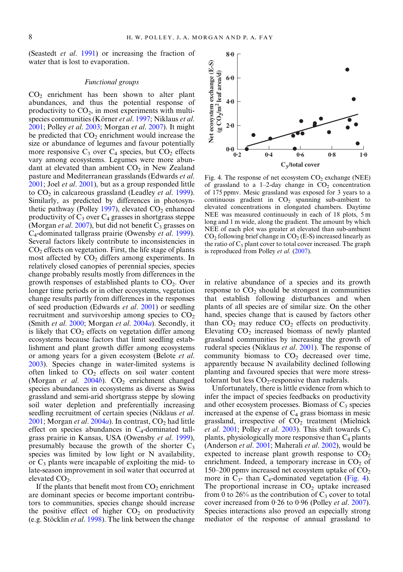(Seastedt et al. [1991](#page-13-0)) or increasing the fraction of water that is lost to evaporation.

#### Functional groups

 $CO<sub>2</sub>$  enrichment has been shown to alter plant abundances, and thus the potential response of productivity to  $CO<sub>2</sub>$ , in most experiments with multi-species communities (Körner et al. [1997;](#page-11-0) Niklaus et al. [2001](#page-12-0); Polley et al. [2003;](#page-13-0) Morgan et al. [2007\)](#page-12-0). It might be predicted that  $CO<sub>2</sub>$  enrichment would increase the size or abundance of legumes and favour potentially more responsive  $C_3$  over  $C_4$  species, but  $CO_2$  effects vary among ecosystems. Legumes were more abundant at elevated than ambient  $CO<sub>2</sub>$  in New Zealand pasture and Mediterranean grasslands (Edwards et al. [2001](#page-10-0); Joel et al. [2001\)](#page-11-0), but as a group responded little to  $CO<sub>2</sub>$  in calcareous grassland (Leadley *et al.* [1999](#page-11-0)). Similarly, as predicted by differences in photosyn-thetic pathway (Polley [1997](#page-12-0)), elevated  $CO<sub>2</sub>$  enhanced productivity of  $C_3$  over  $C_4$  grasses in shortgrass steppe (Morgan et al. [2007\)](#page-12-0), but did not benefit  $C_3$  grasses on C4-dominated tallgrass prairie (Owensby et al. [1999](#page-12-0)). Several factors likely contribute to inconsistencies in  $CO<sub>2</sub>$  effects on vegetation. First, the life stage of plants most affected by  $CO<sub>2</sub>$  differs among experiments. In relatively closed canopies of perennial species, species change probably results mostly from differences in the growth responses of established plants to  $CO<sub>2</sub>$ . Over longer time periods or in other ecosystems, vegetation change results partly from differences in the responses of seed production (Edwards et al. [2001](#page-10-0)) or seedling recruitment and survivorship among species to  $CO<sub>2</sub>$ (Smith et al. [2000;](#page-13-0) Morgan et al. [2004](#page-12-0)a). Secondly, it is likely that  $CO<sub>2</sub>$  effects on vegetation differ among ecosystems because factors that limit seedling establishment and plant growth differ among ecosystems or among years for a given ecosystem (Belote et al. [2003](#page-10-0)). Species change in water-limited systems is often linked to  $CO<sub>2</sub>$  effects on soil water content (Morgan et al.  $2004b$  $2004b$ ).  $CO<sub>2</sub>$  enrichment changed species abundances in ecosystems as diverse as Swiss grassland and semi-arid shortgrass steppe by slowing soil water depletion and preferentially increasing seedling recruitment of certain species (Niklaus et al.  $2001$ ; Morgan et al.  $2004a$  $2004a$ ). In contrast,  $CO<sub>2</sub>$  had little effect on species abundances in  $C_4$ -dominated tallgrass prairie in Kansas, USA (Owensby et al. [1999](#page-12-0)), presumably because the growth of the shorter  $C_3$ species was limited by low light or N availability, or  $C_3$  plants were incapable of exploiting the mid- to late-season improvement in soil water that occurred at elevated  $CO<sub>2</sub>$ .

If the plants that benefit most from  $CO<sub>2</sub>$  enrichment are dominant species or become important contributors to communities, species change should increase the positive effect of higher  $CO<sub>2</sub>$  on productivity (e.g. Stöcklin et al. [1998\)](#page-13-0). The link between the change



Fig. 4. The response of net ecosystem  $CO<sub>2</sub>$  exchange (NEE) of grassland to a 1–2-day change in  $CO<sub>2</sub>$  concentration of 175 ppmv. Mesic grassland was exposed for 3 years to a continuous gradient in  $CO<sub>2</sub>$  spanning sub-ambient to elevated concentrations in elongated chambers. Daytime NEE was measured continuously in each of 18 plots, 5 m long and 1 m wide, along the gradient. The amount by which NEE of each plot was greater at elevated than sub-ambient  $CO<sub>2</sub>$  following brief change in  $CO<sub>2</sub>$  (E-S) increased linearly as the ratio of  $C_3$  plant cover to total cover increased. The graph is reproduced from Polley *et al.* ([2007\)](#page-13-0).

in relative abundance of a species and its growth response to  $CO<sub>2</sub>$  should be strongest in communities that establish following disturbances and when plants of all species are of similar size. On the other hand, species change that is caused by factors other than  $CO<sub>2</sub>$  may reduce  $CO<sub>2</sub>$  effects on productivity. Elevating  $CO<sub>2</sub>$  increased biomass of newly planted grassland communities by increasing the growth of ruderal species (Niklaus et al. [2001\)](#page-12-0). The response of community biomass to  $CO<sub>2</sub>$  decreased over time, apparently because N availability declined following planting and favoured species that were more stresstolerant but less  $CO<sub>2</sub>$ -responsive than ruderals.

Unfortunately, there is little evidence from which to infer the impact of species feedbacks on productivity and other ecosystem processes. Biomass of  $C_3$  species increased at the expense of  $C_4$  grass biomass in mesic grassland, irrespective of  $CO<sub>2</sub>$  treatment (Mielnick et al. [2001;](#page-12-0) Polley et al. [2003\)](#page-13-0). This shift towards  $C_3$ plants, physiologically more responsive than  $C_4$  plants (Anderson et al. [2001](#page-10-0); Maherali et al. [2002](#page-11-0)), would be expected to increase plant growth response to  $CO<sub>2</sub>$ enrichment. Indeed, a temporary increase in  $CO<sub>2</sub>$  of 150–200 ppmv increased net ecosystem uptake of  $CO<sub>2</sub>$ more in  $C_3$ - than  $C_4$ -dominated vegetation (Fig. 4). The proportional increase in  $CO<sub>2</sub>$  uptake increased from 0 to 26% as the contribution of  $C_3$  cover to total cover increased from  $0.26$  to  $0.96$  (Polley *et al.* [2007](#page-13-0)). Species interactions also proved an especially strong mediator of the response of annual grassland to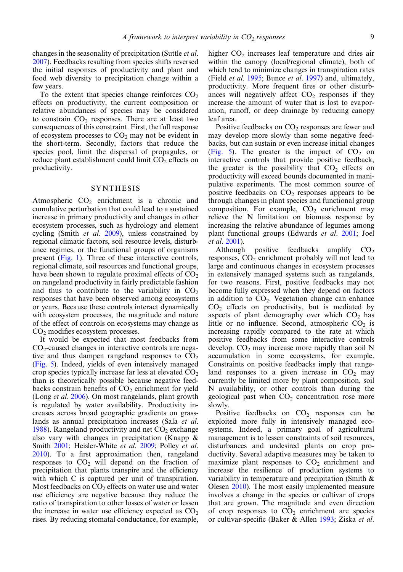changes in the seasonality of precipitation (Suttle et al. [2007\)](#page-13-0). Feedbacks resulting from species shifts reversed the initial responses of productivity and plant and food web diversity to precipitation change within a few years.

To the extent that species change reinforces  $CO<sub>2</sub>$ effects on productivity, the current composition or relative abundances of species may be considered to constrain  $CO<sub>2</sub>$  responses. There are at least two consequences of this constraint. First, the full response of ecosystem processes to  $CO<sub>2</sub>$  may not be evident in the short-term. Secondly, factors that reduce the species pool, limit the dispersal of propagules, or reduce plant establishment could limit  $CO<sub>2</sub>$  effects on productivity.

## SYNTHESIS

Atmospheric  $CO<sub>2</sub>$  enrichment is a chronic and cumulative perturbation that could lead to a sustained increase in primary productivity and changes in other ecosystem processes, such as hydrology and element cycling (Smith et al. [2009](#page-13-0)), unless constrained by regional climatic factors, soil resource levels, disturbance regimes, or the functional groups of organisms present ([Fig. 1](#page-1-0)). Three of these interactive controls, regional climate, soil resources and functional groups, have been shown to regulate proximal effects of  $CO<sub>2</sub>$ on rangeland productivity in fairly predictable fashion and thus to contribute to the variability in  $CO<sub>2</sub>$ responses that have been observed among ecosystems or years. Because these controls interact dynamically with ecosystem processes, the magnitude and nature of the effect of controls on ecosystems may change as  $CO<sub>2</sub>$  modifies ecosystem processes.

It would be expected that most feedbacks from  $CO<sub>2</sub>$ -caused changes in interactive controls are negative and thus dampen rangeland responses to  $CO<sub>2</sub>$ ([Fig. 5](#page-9-0)). Indeed, yields of even intensively managed crop species typically increase far less at elevated  $CO<sub>2</sub>$ than is theoretically possible because negative feedbacks constrain benefits of  $CO<sub>2</sub>$  enrichment for yield (Long et al. [2006\)](#page-11-0). On most rangelands, plant growth is regulated by water availability. Productivity increases across broad geographic gradients on grasslands as annual precipitation increases (Sala et al. [1988\)](#page-13-0). Rangeland productivity and net  $CO<sub>2</sub>$  exchange also vary with changes in precipitation (Knapp & Smith [2001](#page-11-0); Heisler-White et al. [2009](#page-11-0); Polley et al. [2010\)](#page-13-0). To a first approximation then, rangeland responses to  $CO<sub>2</sub>$  will depend on the fraction of precipitation that plants transpire and the efficiency with which C is captured per unit of transpiration. Most feedbacks on  $CO<sub>2</sub>$  effects on water use and water use efficiency are negative because they reduce the ratio of transpiration to other losses of water or lessen the increase in water use efficiency expected as  $CO<sub>2</sub>$ rises. By reducing stomatal conductance, for example,

higher  $CO<sub>2</sub>$  increases leaf temperature and dries air within the canopy (local/regional climate), both of which tend to minimize changes in transpiration rates (Field et al. [1995](#page-10-0); Bunce et al. [1997](#page-10-0)) and, ultimately, productivity. More frequent fires or other disturbances will negatively affect  $CO<sub>2</sub>$  responses if they increase the amount of water that is lost to evaporation, runoff, or deep drainage by reducing canopy leaf area.

Positive feedbacks on  $CO<sub>2</sub>$  responses are fewer and may develop more slowly than some negative feedbacks, but can sustain or even increase initial changes ([Fig. 5\)](#page-9-0). The greater is the impact of  $CO<sub>2</sub>$  on interactive controls that provide positive feedback, the greater is the possibility that  $CO<sub>2</sub>$  effects on productivity will exceed bounds documented in manipulative experiments. The most common source of positive feedbacks on  $CO<sub>2</sub>$  responses appears to be through changes in plant species and functional group composition. For example,  $CO<sub>2</sub>$  enrichment may relieve the N limitation on biomass response by increasing the relative abundance of legumes among plant functional groups (Edwards et al. [2001](#page-10-0); Joel et al. [2001](#page-11-0)).

Although positive feedbacks amplify  $CO<sub>2</sub>$ responses,  $CO<sub>2</sub>$  enrichment probably will not lead to large and continuous changes in ecosystem processes in extensively managed systems such as rangelands, for two reasons. First, positive feedbacks may not become fully expressed when they depend on factors in addition to  $CO<sub>2</sub>$ . Vegetation change can enhance  $CO<sub>2</sub>$  effects on productivity, but is mediated by aspects of plant demography over which  $CO<sub>2</sub>$  has little or no influence. Second, atmospheric  $CO<sub>2</sub>$  is increasing rapidly compared to the rate at which positive feedbacks from some interactive controls develop.  $CO<sub>2</sub>$  may increase more rapidly than soil N accumulation in some ecosystems, for example. Constraints on positive feedbacks imply that rangeland responses to a given increase in  $CO<sub>2</sub>$  may currently be limited more by plant composition, soil N availability, or other controls than during the geological past when  $CO<sub>2</sub>$  concentration rose more slowly.

Positive feedbacks on  $CO<sub>2</sub>$  responses can be exploited more fully in intensively managed ecosystems. Indeed, a primary goal of agricultural management is to lessen constraints of soil resources, disturbances and undesired plants on crop productivity. Several adaptive measures may be taken to maximize plant responses to  $CO<sub>2</sub>$  enrichment and increase the resilience of production systems to variability in temperature and precipitation (Smith & Olesen [2010\)](#page-13-0). The most easily implemented measure involves a change in the species or cultivar of crops that are grown. The magnitude and even direction of crop responses to  $CO<sub>2</sub>$  enrichment are species or cultivar-specific (Baker & Allen [1993;](#page-10-0) Ziska et al.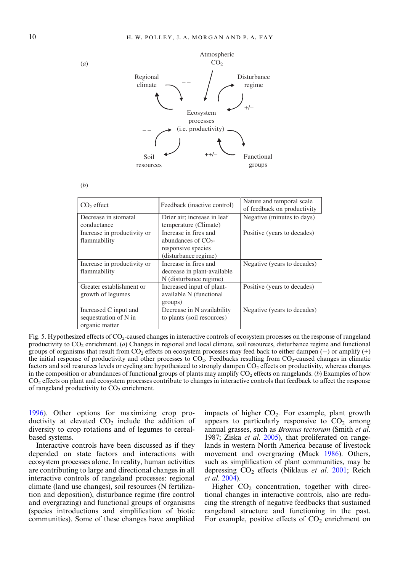

| I<br>I      |
|-------------|
| ٧<br>I<br>I |

<span id="page-9-0"></span>(*a*)

| $CO2$ effect                                                     | Feedback (inactive control)                                                                  | Nature and temporal scale<br>of feedback on productivity |
|------------------------------------------------------------------|----------------------------------------------------------------------------------------------|----------------------------------------------------------|
| Decrease in stomatal<br>conductance                              | Drier air; increase in leaf<br>temperature (Climate)                                         | Negative (minutes to days)                               |
| Increase in productivity or<br>flammability                      | Increase in fires and<br>abundances of $CO2$ -<br>responsive species<br>(disturbance regime) | Positive (years to decades)                              |
| Increase in productivity or<br>flammability                      | Increase in fires and<br>decrease in plant-available<br>N (disturbance regime)               | Negative (years to decades)                              |
| Greater establishment or<br>growth of legumes                    | Increased input of plant-<br>available N (functional<br>groups)                              | Positive (years to decades)                              |
| Increased C input and<br>sequestration of N in<br>organic matter | Decrease in N availability<br>to plants (soil resources)                                     | Negative (years to decades)                              |

Fig. 5. Hypothesized effects of CO<sub>2</sub>-caused changes in interactive controls of ecosystem processes on the response of rangeland productivity to  $CO_2$  enrichment. (a) Changes in regional and local climate, soil resources, disturbance regime and functional groups of organisms that result from CO2 effects on ecosystem processes may feed back to either dampen (*−*) or amplify (+) the initial response of productivity and other processes to  $CO<sub>2</sub>$ . Feedbacks resulting from  $CO<sub>2</sub>$ -caused changes in climatic factors and soil resources levels or cycling are hypothesized to strongly dampen CO<sub>2</sub> effects on productivity, whereas changes in the composition or abundances of functional groups of plants may amplify  $CO<sub>2</sub>$  effects on rangelands. (b) Examples of how CO2 effects on plant and ecosystem processes contribute to changes in interactive controls that feedback to affect the response of rangeland productivity to  $CO<sub>2</sub>$  enrichment.

[1996](#page-13-0)). Other options for maximizing crop productivity at elevated  $CO<sub>2</sub>$  include the addition of diversity to crop rotations and of legumes to cerealbased systems.

Interactive controls have been discussed as if they depended on state factors and interactions with ecosystem processes alone. In reality, human activities are contributing to large and directional changes in all interactive controls of rangeland processes: regional climate (land use changes), soil resources (N fertilization and deposition), disturbance regime (fire control and overgrazing) and functional groups of organisms (species introductions and simplification of biotic communities). Some of these changes have amplified

impacts of higher  $CO<sub>2</sub>$ . For example, plant growth appears to particularly responsive to  $CO<sub>2</sub>$  among annual grasses, such as Bromus tectorum (Smith et al. 1987; Ziska *et al.* [2005\)](#page-13-0), that proliferated on rangelands in western North America because of livestock movement and overgrazing (Mack [1986\)](#page-11-0). Others, such as simplification of plant communities, may be depressing  $CO<sub>2</sub>$  effects (Niklaus *et al.* [2001;](#page-12-0) Reich et al. [2004\)](#page-13-0).

Higher  $CO<sub>2</sub>$  concentration, together with directional changes in interactive controls, also are reducing the strength of negative feedbacks that sustained rangeland structure and functioning in the past. For example, positive effects of  $CO<sub>2</sub>$  enrichment on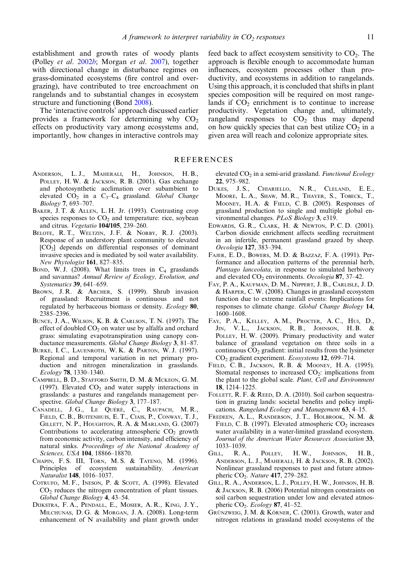<span id="page-10-0"></span>establishment and growth rates of woody plants (Polley et al. [2002](#page-13-0)b; Morgan et al. [2007](#page-12-0)), together with directional change in disturbance regimes on grass-dominated ecosystems (fire control and overgrazing), have contributed to tree encroachment on rangelands and to substantial changes in ecosystem structure and functioning (Bond 2008).

The 'interactive controls' approach discussed earlier provides a framework for determining why  $CO<sub>2</sub>$ effects on productivity vary among ecosystems and, importantly, how changes in interactive controls may feed back to affect ecosystem sensitivity to  $CO<sub>2</sub>$ . The approach is flexible enough to accommodate human influences, ecosystem processes other than productivity, and ecosystems in addition to rangelands. Using this approach, it is concluded that shifts in plant species composition will be required on most rangelands if  $CO<sub>2</sub>$  enrichment is to continue to increase productivity. Vegetation change and, ultimately, rangeland responses to  $CO<sub>2</sub>$  thus may depend on how quickly species that can best utilize  $CO<sub>2</sub>$  in a given area will reach and colonize appropriate sites.

# **REFERENCES**

- ANDERSON, L.J., MAHERALI, H., JOHNSON, H.B., POLLEY, H. W. & JACKSON, R. B. (2001). Gas exchange and photosynthetic acclimation over subambient to elevated  $CO_2$  in a  $C_3-C_4$  grassland. Global Change Biology 7, 693–707.
- BAKER, J. T. & ALLEN, L. H. Jr. (1993). Contrasting crop species responses to  $CO<sub>2</sub>$  and temperature: rice, soybean and citrus. Vegetatio 104/105, 239–260.
- BELOTE, R. T., WELTZIN, J. F. & NORBY, R. J. (2003). Response of an understory plant community to elevated  $[CO<sub>2</sub>]$  depends on differential responses of dominant invasive species and is mediated by soil water availability. New Phytologist 161, 827–835.
- BOND, W. J. (2008). What limits trees in  $C_4$  grasslands and savannas? Annual Review of Ecology, Evolution, and Systematics 39, 641–659.
- BROWN, J.R. & ARCHER, S. (1999). Shrub invasion of grassland: Recruitment is continuous and not regulated by herbaceous biomass or density. Ecology 80, 2385–2396.
- BUNCE, J. A., WILSON, K. B. & CARLSON, T. N. (1997). The effect of doubled  $CO<sub>2</sub>$  on water use by alfalfa and orchard grass: simulating evapotranspiration using canopy conductance measurements. Global Change Biology 3, 81–87.
- BURKE, I. C., LAUENROTH, W. K. & PARTON, W. J. (1997). Regional and temporal variation in net primary production and nitrogen mineralization in grasslands. Ecology 78, 1330–1340.
- CAMPBELL, B. D., STAFFORD SMITH, D. M. & MCKEON, G. M. (1997). Elevated  $CO<sub>2</sub>$  and water supply interactions in grasslands: a pastures and rangelands management perspective. Global Change Biology 3, 177–187.
- CANADELL, J. G., LE QUÉRÉ, C., RAUPACH, M. R., FIELD, C. B., BUITENHUIS, E. T., CIAIS, P., CONWAY, T. J., GILLETT, N. P., HOUGHTON, R. A. & MARLAND, G. (2007) Contributions to accelerating atmospheric  $CO<sub>2</sub>$  growth from economic activity, carbon intensity, and efficiency of natural sinks. Proceedings of the National Academy of Sciences, USA 104, 18866-18870.
- CHAPIN, F. S. III, TORN, M. S. & TATENO, M. (1996). Principles of ecosystem sustainability. American Naturalist 148, 1016–1037.
- COTRUFO, M. F., INESON, P. & SCOTT, A. (1998). Elevated  $CO<sub>2</sub>$  reduces the nitrogen concentration of plant tissues. Global Change Biology 4, 43–54.
- DIJKSTRA, F. A., PENDALL, E., MOSIER, A. R., KING, J. Y., MILCHUNAS, D. G. & MORGAN, J. A. (2008). Long-term enhancement of N availability and plant growth under

elevated CO<sub>2</sub> in a semi-arid grassland. Functional Ecology 22, 975–982.

- DUKES, J. S., CHIARIELLO, N. R., CLELAND, E. E., MOORE, L. A., SHAW, M. R., THAYER, S., TOBECK, T., MOONEY, H. A. & FIELD, C. B. (2005). Responses of grassland production to single and multiple global environmental changes. PLoS Biology 3, e319.
- EDWARDS, G. R., CLARK, H. & NEWTON, P. C. D. (2001). Carbon dioxide enrichment affects seedling recruitment in an infertile, permanent grassland grazed by sheep. Oecologia 127, 383–394.
- FAJER, E. D., BOWERS, M. D. & BAZZAZ, F. A. (1991). Performance and allocation patterns of the perennial herb, Plantago lanceolata, in response to simulated herbivory and elevated  $CO_2$  environments. Oecologia 87, 37-42.
- FAY, P. A., KAUFMAN, D. M., NIPPERT, J. B., CARLISLE, J. D. & HARPER, C. W. (2008). Changes in grassland ecosystem function due to extreme rainfall events: Implications for responses to climate change. Global Change Biology 14, 1600–1608.
- FAY, P. A., KELLEY, A. M., PROCTER, A. C., HUI, D., JIN, V. L., JACKSON, R. B., JOHNSON, H. B. & POLLEY, H. W. (2009). Primary productivity and water balance of grassland vegetation on three soils in a continuous  $CO<sub>2</sub>$  gradient: initial results from the lysimeter CO<sub>2</sub> gradient experiment. Ecosystems 12, 699-714.
- FIELD, C. B., JACKSON, R. B. & MOONEY, H. A. (1995). Stomatal responses to increased  $CO<sub>2</sub>$ : implications from the plant to the global scale. Plant, Cell and Environment 18, 1214–1225.
- FOLLETT, R. F. & REED, D. A. (2010). Soil carbon sequestration in grazing lands: societal benefits and policy implications. Rangeland Ecology and Management 63, 4–15.
- FREDEEN, A. L., RANDERSON, J. T., HOLBROOK, N. M. & FIELD, C. B. (1997). Elevated atmospheric  $CO<sub>2</sub>$  increases water availability in a water-limited grassland ecosystem. Journal of the American Water Resources Association 33,  $1033-1039.$ <br>LL, R.A.,
- GILL, R.A., POLLEY, H.W., JOHNSON, H.B., ANDERSON, L. J., MAHERALI, H. & JACKSON, R. B. (2002). Nonlinear grassland responses to past and future atmospheric CO<sub>2</sub>. Nature 417, 279-282.
- GILL, R. A., ANDERSON, L. J., POLLEY, H. W., JOHNSON, H. B. & JACKSON, R. B. (2006) Potential nitrogen constraints on soil carbon sequestration under low and elevated atmospheric CO<sub>2</sub>. Ecology 87, 41–52.
- GRÜNZWEIG, J. M. & KÖRNER, C. (2001). Growth, water and nitrogen relations in grassland model ecosystems of the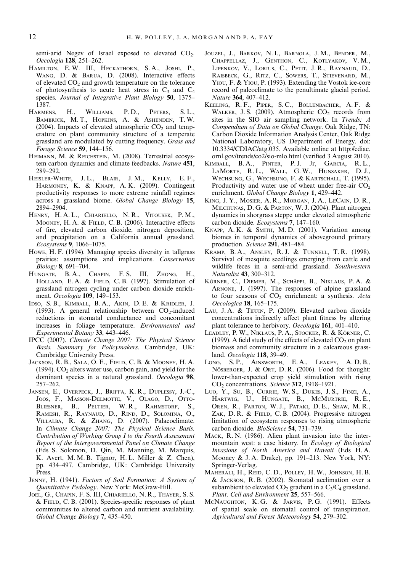<span id="page-11-0"></span>semi-arid Negev of Israel exposed to elevated  $CO<sub>2</sub>$ . Oecologia 128, 251–262.

- HAMILTON, E. W. III, HECKATHORN, S. A., JOSHI, P., WANG, D. & BARUA, D. (2008). Interactive effects of elevated CO<sub>2</sub> and growth temperature on the tolerance of photosynthesis to acute heat stress in  $C_3$  and  $C_4$ species. Journal of Integrative Plant Biology 50, 1375– 1387.
- HARMENS, H., WILLIAMS, P.D., PETERS, S.L., BAMBRICK, M. T., HOPKINS, A. & ASHENDEN, T. W. (2004). Impacts of elevated atmospheric  $CO<sub>2</sub>$  and temperature on plant community structure of a temperate grassland are modulated by cutting frequency. Grass and Forage Science 59, 144–156.
- HEIMANN, M. & REICHSTEIN, M. (2008). Terrestrial ecosystem carbon dynamics and climate feedbacks. Nature 451, 289–292.
- HEISLER-WHITE, J. L., BLAIR, J. M., KELLY, E. F., HARMONEY, K. & KNAPP, A. K. (2009). Contingent productivity responses to more extreme rainfall regimes across a grassland biome. Global Change Biology 15, 2894–2904.
- HENRY, H. A. L., CHIARIELLO, N. R., VITOUSEK, P. M., MOONEY, H. A. & FIELD, C. B. (2006). Interactive effects of fire, elevated carbon dioxide, nitrogen deposition, and precipitation on a California annual grassland. Ecosystems 9, 1066–1075.
- HOWE, H. F. (1994). Managing species diversity in tallgrass prairies: assumptions and implications. Conservation Biology 8, 691–704.
- HUNGATE, B.A., CHAPIN, F.S. III, ZHONG, H., HOLLAND, E. A. & FIELD, C. B. (1997). Stimulation of grassland nitrogen cycling under carbon dioxide enrichment. Oecologia 109, 149–153.
- IDSO, S. B., KIMBALL, B. A., AKIN, D. E. & KRIDLER, J. (1993). A general relationship between  $CO<sub>2</sub>$ -induced reductions in stomatal conductance and concomitant increases in foliage temperature. Environmental and Experimental Botany 33, 443–446.
- IPCC (2007). Climate Change 2007: The Physical Science Basis. Summary for Policymakers. Cambridge, UK: Cambridge University Press.
- JACKSON, R. B., SALA, O. E., FIELD, C. B. & MOONEY, H. A. (1994).  $CO<sub>2</sub>$  alters water use, carbon gain, and yield for the dominant species in a natural grassland. Oecologia 98, 257–262.
- JANSEN, E., OVERPECK, J., BRIFFA, K. R., DUPLESSY, J.-C., JOOS, F., MASSON-DELMOTTE, V., OLAGO, D., OTTO-BLIESNER, B., PELTIER, W. R., RAHMSTORF, S., RAMESH, R., RAYNAUD, D., RIND, D., SOLOMINA, O., VILLALBA, R. & ZHANG, D. (2007). Palaeoclimate. In Climate Change 2007: The Physical Science Basis. Contribution of Working Group I to the Fourth Assessment Report of the Intergovernmental Panel on Climate Change (Eds S. Solomon, D. Qin, M. Manning, M. Marquis, K. Avert, M. M. B. Tignor, H. L. Miller & Z. Chen), pp. 434–497. Cambridge, UK: Cambridge University Press.
- JENNY, H. (1941). Factors of Soil Formation: A System of Quantitative Pedology. New York: McGraw-Hill.
- JOEL, G., CHAPIN, F. S. III, CHIARIELLO, N. R., THAYER, S. S. & FIELD, C. B. (2001). Species-specific responses of plant communities to altered carbon and nutrient availability. Global Change Biology 7, 435–450.
- JOUZEL, J., BARKOV, N. I., BARNOLA, J. M., BENDER, M., CHAPPELLAZ, J., GENTHON, C., KOTLYAKOV, V. M., LIPENKOV, V., LORIUS, C., PETIT, J. R., RAYNAUD, D., RAISBECK, G., RITZ, C., SOWERS, T., STIEVENARD, M., YIOU, F. & YIOU, P. (1993). Extending the Vostok ice-core record of paleoclimate to the penultimate glacial period. Nature 364, 407–412.
- KEELING, R. F., PIPER, S. C., BOLLENBACHER, A. F. & WALKER, J. S.  $(2009)$ . Atmospheric  $CO<sub>2</sub>$  records from sites in the SIO air sampling network. In Trends: A Compendium of Data on Global Change. Oak Ridge, TN: Carbon Dioxide Information Analysis Center, Oak Ridge National Laboratory, US Department of Energy. doi: 10.3334/CDIAC/atg.035. Available online at http://cdiac. ornl.gov/trends/co2/sio-mlo.html (verified 3 August 2010).
- KIMBALL, B. A., PINTER, P. J. Jr, GARCIA, R. L., LAMORTE, R. L., WALL, G. W., HUNSAKER, D. J., WECHSUNG, G., WECHSUNG, F. & KARTSCHALL, T. (1995). Productivity and water use of wheat under free-air  $CO<sub>2</sub>$ enrichment. Global Change Biology 1, 429–442.
- KING, J. Y., MOSIER, A. R., MORGAN, J. A., LECAIN, D. R., MILCHUNAS, D. G. & PARTON, W. J. (2004). Plant nitrogen dynamics in shorgrass steppe under elevated atmospheric carbon dioxide. Ecosystems 7, 147–160.
- KNAPP, A. K. & SMITH, M. D. (2001). Variation among biomes in temporal dynamics of aboveground primary production. Science 291, 481–484.
- KRAMP, B. A., ANSLEY, R. J. & TUNNELL, T. R. (1998). Survival of mesquite seedlings emerging from cattle and wildlife feces in a semi-arid grassland. Southwestern Naturalist 43, 300–312.
- KÖRNER, C., DIEMER, M., SCHÄPPI, B., NIKLAUS, P. A. & ARNONE, J. (1997). The responses of alpine grassland to four seasons of  $CO<sub>2</sub>$  enrichment: a synthesis. Acta Oecologica 18, 165–175.
- LAU, J. A. & TIFFIN, P. (2009). Elevated carbon dioxide concentrations indirectly affect plant fitness by altering plant tolerance to herbivory. Oecologia 161, 401–410.
- LEADLEY, P. W., NIKLAUS, P. A., STOCKER, R. & KÖRNER, C. (1999). A field study of the effects of elevated  $CO<sub>2</sub>$  on plant biomass and community structure in a calcareous grassland. Oecologia 118, 39–49.
- LONG, S. P., AINSWORTH, E. A., LEAKEY, A. D. B., NÖSBERGER, J. & ORT, D. R. (2006). Food for thought: lower-than-expected crop yield stimulation with rising CO<sub>2</sub> concentrations. Science 312, 1918-1921.
- LUO, Y., SU, B., CURRIE, W. S., DUKES, J. S., FINZI, A., HARTWIG, U., HUNGATE, B., MCMURTRIE, R. E., OREN, R., PARTON, W. J., PATAKI, D. E., SHAW, M. R., ZAK, D. R. & FIELD, C. B. (2004). Progressive nitrogen limitation of ecosystem responses to rising atmospheric carbon dioxide. BioScience 54, 731–739.
- MACK, R. N. (1986). Alien plant invasion into the intermountain west: a case history. In Ecology of Biological Invasions of North America and Hawaii (Eds H. A. Mooney & J. A. Drake), pp. 191–213. New York, NY: Springer-Verlag.
- MAHERALI, H., REID, C. D., POLLEY, H. W., JOHNSON, H. B. & JACKSON, R. B. (2002). Stomatal acclimation over a subambient to elevated  $CO_2$  gradient in a  $C_3/C_4$  grassland. Plant, Cell and Environment 25, 557–566.
- MCNAUGHTON, K. G. & JARVIS, P. G. (1991). Effects of spatial scale on stomatal control of transpiration. Agricultural and Forest Meteorology 54, 279–302.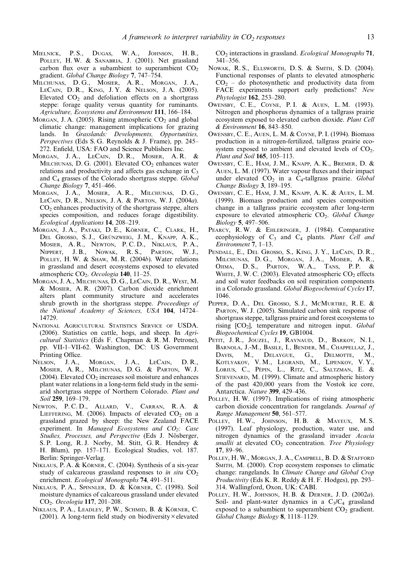- <span id="page-12-0"></span>MIELNICK, P. S., DUGAS, W. A., JOHNSON, H. B., POLLEY, H. W. & SANABRIA, J. (2001). Net grassland carbon flux over a subambient to superambient  $CO<sub>2</sub>$ gradient. Global Change Biology 7, 747–754.
- MILCHUNAS, D. G., MOSIER, A. R., MORGAN, J. A., LECAIN, D. R., KING, J. Y. & NELSON, J. A. (2005). Elevated CO<sub>2</sub> and defoliation effects on a shortgrass steppe: forage quality versus quantity for ruminants. Agriculture, Ecosystems and Environment 111, 166–184.
- MORGAN, J. A. (2005). Rising atmospheric  $CO<sub>2</sub>$  and global climatic change: management implications for grazing lands. In Grasslands: Developments, Opportunities, Perspectives (Eds S. G. Reynolds & J. Frame), pp. 245– 272. Enfield, USA: FAO and Science Publishers Inc.
- MORGAN, J. A., LECAIN, D. R., MOSIER, A. R. & MILCHUNAS, D. G. (2001). Elevated  $CO<sub>2</sub>$  enhances water relations and productivity and affects gas exchange in  $C_3$ and C4 grasses of the Colorado shortgrass steppe. Global Change Biology 7, 451–466.
- MORGAN, J. A., MOSIER, A. R., MILCHUNAS, D. G., LECAIN, D. R., NELSON, J. A. & PARTON, W. J. (2004a).  $CO<sub>2</sub>$  enhances productivity of the shortgrass steppe, alters species composition, and reduces forage digestibility. Ecological Applications 14, 208–219.
- MORGAN, J. A., PATAKI, D. E., KÖRNER, C., CLARK, H., DEL GROSSO, S. J., GRÜNZWEIG, J. M., KNAPP, A. K., MOSIER, A. R., NEWTON, P. C. D., NIKLAUS, P. A., NIPPERT, J. B., NOWAK, R. S., PARTON, W. J., POLLEY, H. W. & SHAW, M. R. (2004b). Water relations in grassland and desert ecosystems exposed to elevated atmospheric CO<sub>2</sub>. Oecologia 140, 11–25.
- MORGAN, J. A., MILCHUNAS, D. G., LECAIN, D. R., WEST, M. & MOSIER, A. R. (2007). Carbon dioxide enrichment alters plant community structure and accelerates shrub growth in the shortgrass steppe. Proceedings of the National Academy of Sciences, USA 104, 14724– 14729.
- NATIONAL AGRICULTURAL STATISTICS SERVICE OF USDA. (2006). Statistics on cattle, hogs, and sheep. In Agricultural Statistics (Eds F. Chapman & R. M. Petrone), pp. VII-1–VII-62. Washington, DC: US Government Printing Office.
- NELSON, J.A., MORGAN, J.A., LECAIN, D.R., MOSIER, A. R., MILCHUNAS, D. G. & PARTON, W. J. (2004). Elevated  $CO<sub>2</sub>$  increases soil moisture and enhances plant water relations in a long-term field study in the semiarid shortgrass steppe of Northern Colorado. Plant and Soil 259, 169–179.
- NEWTON, P. C. D., ALLARD, V., CARRAN, R. A. & LIEFFERING, M.  $(2006)$ . Impacts of elevated  $CO<sub>2</sub>$  on a grassland grazed by sheep: the New Zealand FACE experiment. In Managed Ecosystems and  $CO<sub>2</sub>$ : Case Studies, Processes, and Perspective (Eds J. Nösberger, S. P. Long, R. J. Norby, M. Stitt, G. R. Hendrey & H. Blum), pp. 157–171. Ecological Studies, vol. 187. Berlin: Springer-Verlag.
- NIKLAUS, P. A. & KÖRNER, C. (2004). Synthesis of a six-year study of calcareous grassland responses to in situ  $CO<sub>2</sub>$ enrichment. Ecological Monographs 74, 491–511.
- NIKLAUS, P. A., SPINNLER, D. & KÖRNER, C. (1998). Soil moisture dynamics of calcareous grassland under elevated CO2. Oecologia 117, 201–208.
- NIKLAUS, P. A., LEADLEY, P. W., SCHMID, B. & KÖRNER, C. (2001). A long-term field study on biodiversity $\times$  elevated

CO<sub>2</sub> interactions in grassland. Ecological Monographs 71, 341–356.

- NOWAK, R. S., ELLSWORTH, D. S. & SMITH, S. D. (2004). Functional responses of plants to elevated atmospheric  $CO<sub>2</sub> -$  do photosynthetic and productivity data from FACE experiments support early predictions? New Phytologist 162, 253–280.
- OWENSBY, C. E., COYNE, P. I. & AUEN, L. M. (1993). Nitrogen and phosphorus dynamics of a tallgrass prairie ecosystem exposed to elevated carbon dioxide. Plant Cell & Environment 16, 843–850.
- OWENSBY, C. E., AUEN, L. M. & COYNE, P. I. (1994). Biomass production in a nitrogen-fertilized, tallgrass prairie ecosystem exposed to ambient and elevated levels of  $CO<sub>2</sub>$ . Plant and Soil 165, 105-113.
- OWENSBY, C. E., HAM, J. M., KNAPP, A. K., BREMER, D. & AUEN, L. M. (1997). Water vapour fluxes and their impact under elevated  $CO<sub>2</sub>$  in a  $C<sub>4</sub>$ -tallgrass prairie. Global Change Biology 3, 189–195.
- OWENSBY, C. E., HAM, J. M., KNAPP, A. K. & AUEN, L. M. (1999). Biomass production and species composition change in a tallgrass prairie ecosystem after long-term exposure to elevated atmospheric  $CO<sub>2</sub>$ . Global Change Biology 5, 497–506.
- PEARCY, R.W. & EHLERINGER, J. (1984). Comparative ecophysiology of  $C_3$  and  $C_4$  plants. Plant Cell and Environment 7, 1–13.
- PENDALL, E., DEL GROSSO, S., KING, J.Y., LECAIN, D.R., MILCHUNAS, D. G., MORGAN, J. A., MOISER, A. R., OJIMA, D. S., PARTON, W. A., TANS, P. P. & WHITE, J. W. C. (2003). Elevated atmospheric  $CO<sub>2</sub>$  effects and soil water feedbacks on soil respiration components in a Colorado grassland. Global Biogeochemical Cycles 17, 1046.
- PEPPER, D. A., DEL GROSSO, S. J., MCMURTIRE, R. E. & PARTON, W. J. (2005). Simulated carbon sink response of shortgrass steppe, tallgrass prairie and forest ecosystems to rising  $[CO_2]$ , temperature and nitrogen input. Global Biogeochemical Cycles 19, GB1004.
- PETIT, J.R., JOUZEL, J., RAYNAUD, D., BARKOV, N.I., BARNOLA, J.-M., BASILE, I., BENDER, M., CHAPPELLAZ, J., DAVIS, M., DELAYGUE, G., DELMOTTE, M., KOTLYAKOV, V. M., LEGRAND, M., LIPENKOV, V. Y., LORIUS, C., PÉPIN, L., RITZ, C., SALTZMAN, E. & STIEVENARD, M. (1999). Climate and atmospheric history of the past 420,000 years from the Vostok ice core, Antarctica. Nature 399, 429–436.
- POLLEY, H. W. (1997). Implications of rising atmospheric carbon dioxide concentration for rangelands. Journal of Range Management 50, 561–577.
- POLLEY, H.W., JOHNSON, H.B. & MAYEUX, M.S. (1997). Leaf physiology, production, water use, and nitrogen dynamics of the grassland invader Acacia smallii at elevated  $CO<sub>2</sub>$  concentration. Tree Physiology 17, 89–96.
- POLLEY, H. W., MORGAN, J. A., CAMPBELL, B. D. & STAFFORD SMITH, M. (2000). Crop ecosystem responses to climatic change: rangelands. In Climate Change and Global Crop Productivity (Eds K. R. Reddy & H. F. Hodges), pp. 293– 314. Wallingford, Oxon, UK: CABI.
- POLLEY, H. W., JOHNSON, H. B. & DERNER, J. D. (2002a). Soil- and plant-water dynamics in a  $C_3/C_4$  grassland exposed to a subambient to superambient  $CO<sub>2</sub>$  gradient. Global Change Biology 8, 1118–1129.